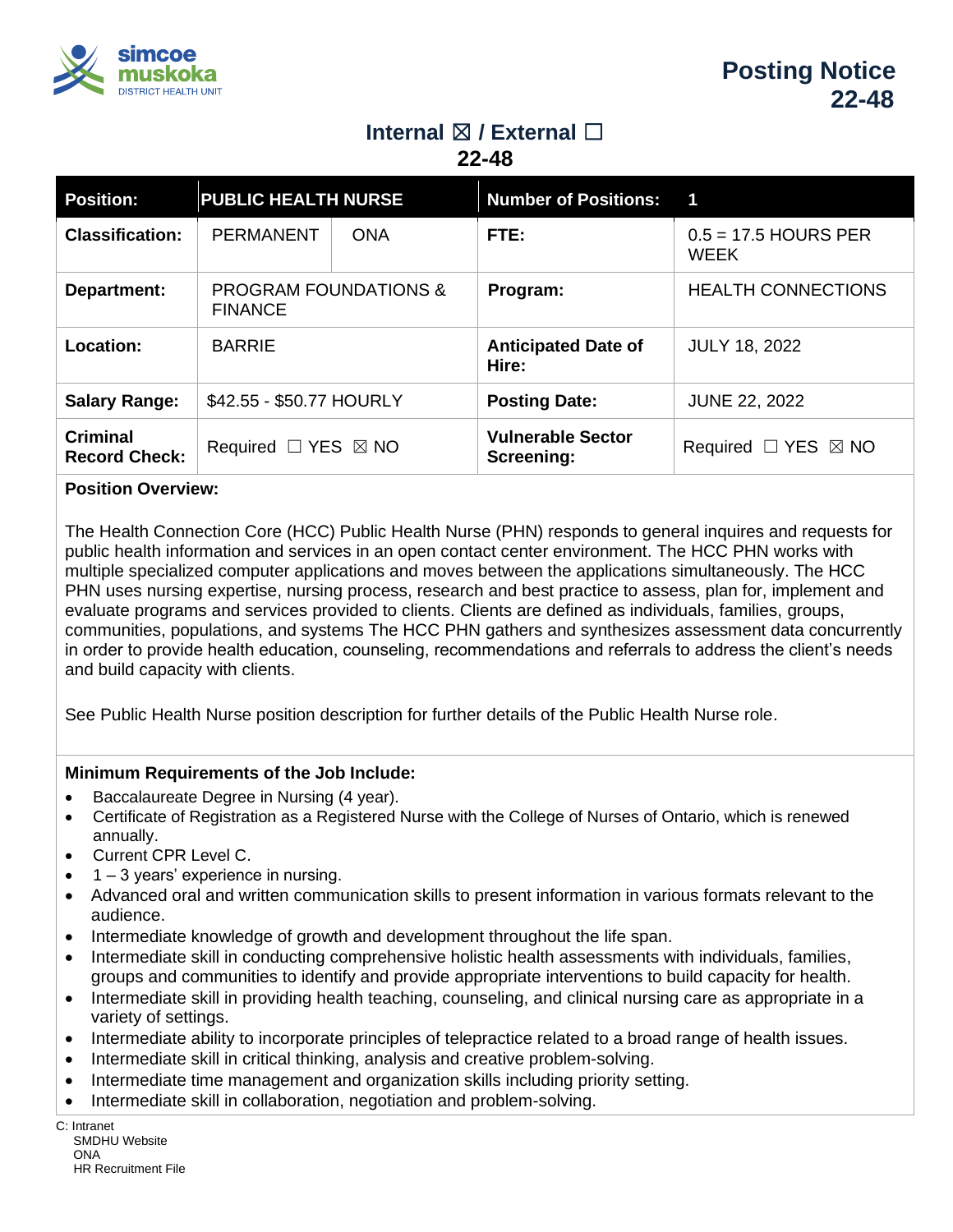

# **Internal** ☒ **/ External** ☐

**22-48**

| <b>Position:</b>                        | <b>PUBLIC HEALTH NURSE</b>                         |            | <b>Number of Positions:</b>            | 1                                     |
|-----------------------------------------|----------------------------------------------------|------------|----------------------------------------|---------------------------------------|
| <b>Classification:</b>                  | <b>PERMANENT</b>                                   | <b>ONA</b> | FTE:                                   | $0.5 = 17.5$ HOURS PER<br><b>WEEK</b> |
| Department:                             | <b>PROGRAM FOUNDATIONS &amp;</b><br><b>FINANCE</b> |            | Program:                               | <b>HEALTH CONNECTIONS</b>             |
| Location:                               | <b>BARRIE</b>                                      |            | <b>Anticipated Date of</b><br>Hire:    | <b>JULY 18, 2022</b>                  |
| <b>Salary Range:</b>                    | \$42.55 - \$50.77 HOURLY                           |            | <b>Posting Date:</b>                   | <b>JUNE 22, 2022</b>                  |
| <b>Criminal</b><br><b>Record Check:</b> | Required $\Box$ YES $\boxtimes$ NO                 |            | <b>Vulnerable Sector</b><br>Screening: | Required $\Box$ YES $\boxtimes$ NO    |

## **Position Overview:**

The Health Connection Core (HCC) Public Health Nurse (PHN) responds to general inquires and requests for public health information and services in an open contact center environment. The HCC PHN works with multiple specialized computer applications and moves between the applications simultaneously. The HCC PHN uses nursing expertise, nursing process, research and best practice to assess, plan for, implement and evaluate programs and services provided to clients. Clients are defined as individuals, families, groups, communities, populations, and systems The HCC PHN gathers and synthesizes assessment data concurrently in order to provide health education, counseling, recommendations and referrals to address the client's needs and build capacity with clients.

See Public Health Nurse position description for further details of the Public Health Nurse role.

## **Minimum Requirements of the Job Include:**

- Baccalaureate Degree in Nursing (4 year).
- Certificate of Registration as a Registered Nurse with the College of Nurses of Ontario, which is renewed annually.
- Current CPR Level C.
- $1 3$  years' experience in nursing.
- Advanced oral and written communication skills to present information in various formats relevant to the audience.
- Intermediate knowledge of growth and development throughout the life span.
- Intermediate skill in conducting comprehensive holistic health assessments with individuals, families, groups and communities to identify and provide appropriate interventions to build capacity for health.
- Intermediate skill in providing health teaching, counseling, and clinical nursing care as appropriate in a variety of settings.
- Intermediate ability to incorporate principles of telepractice related to a broad range of health issues.
- Intermediate skill in critical thinking, analysis and creative problem-solving.
- Intermediate time management and organization skills including priority setting.
- Intermediate skill in collaboration, negotiation and problem-solving.

C: Intranet SMDHU Website ONA HR Recruitment File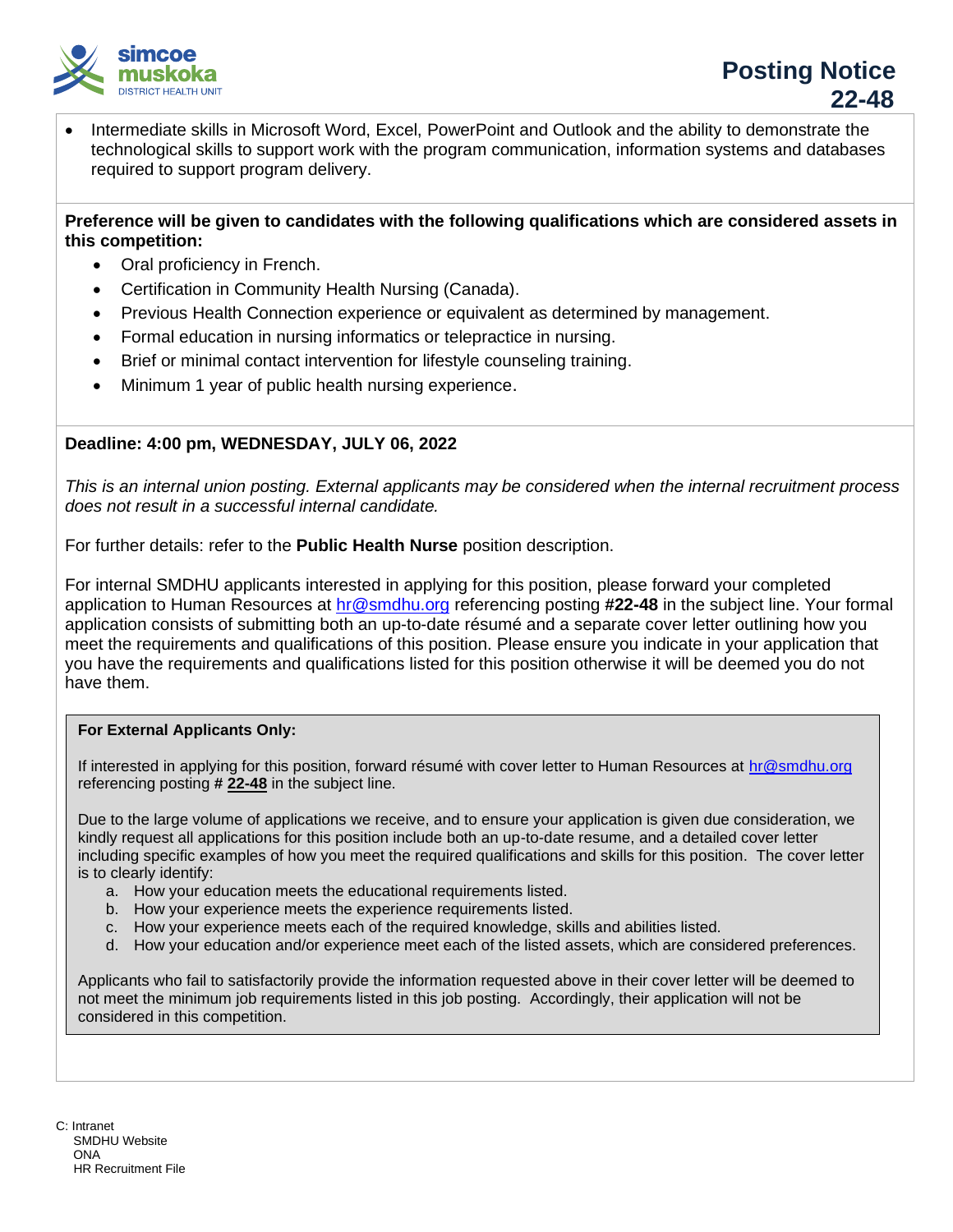

• Intermediate skills in Microsoft Word, Excel, PowerPoint and Outlook and the ability to demonstrate the technological skills to support work with the program communication, information systems and databases required to support program delivery.

### **Preference will be given to candidates with the following qualifications which are considered assets in this competition:**

- Oral proficiency in French.
- Certification in Community Health Nursing (Canada).
- Previous Health Connection experience or equivalent as determined by management.
- Formal education in nursing informatics or telepractice in nursing.
- Brief or minimal contact intervention for lifestyle counseling training.
- Minimum 1 year of public health nursing experience.

## **Deadline: 4:00 pm, WEDNESDAY, JULY 06, 2022**

*This is an internal union posting. External applicants may be considered when the internal recruitment process does not result in a successful internal candidate.*

For further details: refer to the **Public Health Nurse** position description.

For internal SMDHU applicants interested in applying for this position, please forward your completed application to Human Resources at [hr@smdhu.org](mailto:hr@smdhu.org) referencing posting **#22-48** in the subject line. Your formal application consists of submitting both an up-to-date résumé and a separate cover letter outlining how you meet the requirements and qualifications of this position. Please ensure you indicate in your application that you have the requirements and qualifications listed for this position otherwise it will be deemed you do not have them.

#### **For External Applicants Only:**

If interested in applying for this position, forward résumé with cover letter to Human Resources at [hr@smdhu.org](mailto:hr@smdhu.org) referencing posting **# 22-48** in the subject line.

Due to the large volume of applications we receive, and to ensure your application is given due consideration, we kindly request all applications for this position include both an up-to-date resume, and a detailed cover letter including specific examples of how you meet the required qualifications and skills for this position. The cover letter is to clearly identify:

- a. How your education meets the educational requirements listed.
- b. How your experience meets the experience requirements listed.
- c. How your experience meets each of the required knowledge, skills and abilities listed.
- d. How your education and/or experience meet each of the listed assets, which are considered preferences.

Applicants who fail to satisfactorily provide the information requested above in their cover letter will be deemed to not meet the minimum job requirements listed in this job posting. Accordingly, their application will not be considered in this competition.